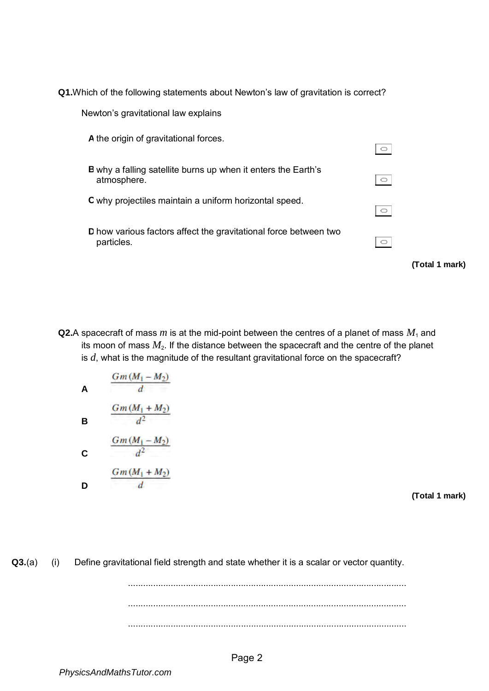**Q1.**Which of the following statements about Newton's law of gravitation is correct?

| Newton's gravitational law explains                                                 |                |  |
|-------------------------------------------------------------------------------------|----------------|--|
| A the origin of gravitational forces.                                               | $\circ$        |  |
| <b>B</b> why a falling satellite burns up when it enters the Earth's<br>atmosphere. | $\circ$        |  |
| C why projectiles maintain a uniform horizontal speed.                              | $\circ$        |  |
| D how various factors affect the gravitational force between two<br>particles.      | $\circ$        |  |
|                                                                                     | (Total 1 mark) |  |

**Q2.**A spacecraft of mass *m* is at the mid-point between the centres of a planet of mass  $M_1$  and its moon of mass  $M_2$ . If the distance between the spacecraft and the centre of the planet is *d*, what is the magnitude of the resultant gravitational force on the spacecraft?

A 
$$
\frac{Gm(M_1 - M_2)}{d}
$$
  
\nB 
$$
\frac{Gm(M_1 + M_2)}{d^2}
$$
  
\nC 
$$
\frac{Gm(M_1 - M_2)}{d^2}
$$
  
\nD 
$$
\frac{Gm(M_1 + M_2)}{d}
$$

**(Total 1 mark)** 

**Q3.(a)** (i) Define gravitational field strength and state whether it is a scalar or vector quantity.

............................................................................................................... ............................................................................................................... ...............................................................................................................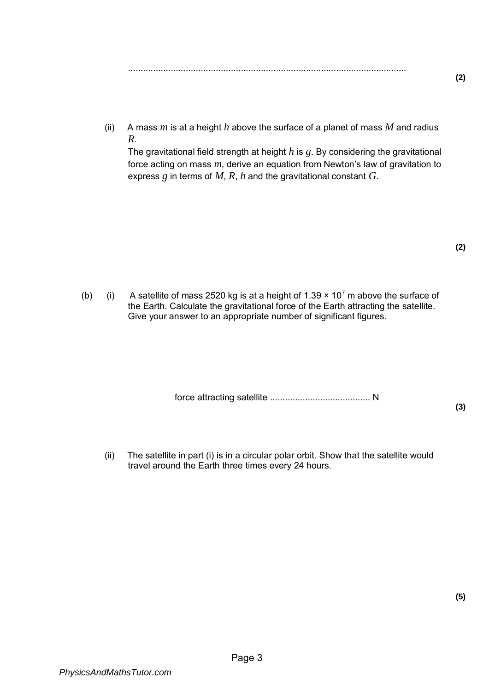(ii) A mass  $m$  is at a height  $h$  above the surface of a planet of mass  $M$  and radius *R*.

The gravitational field strength at height *h* is *g*. By considering the gravitational force acting on mass *m*, derive an equation from Newton's law of gravitation to express *g* in terms of *M*, *R*, *h* and the gravitational constant *G*.

**(2)** 

(b) (i) A satellite of mass 2520 kg is at a height of 1.39  $\times$  10<sup>7</sup> m above the surface of the Earth. Calculate the gravitational force of the Earth attracting the satellite. Give your answer to an appropriate number of significant figures.

force attracting satellite ........................................ N

**(3)** 

(ii) The satellite in part (i) is in a circular polar orbit. Show that the satellite would travel around the Earth three times every 24 hours.

**(5)**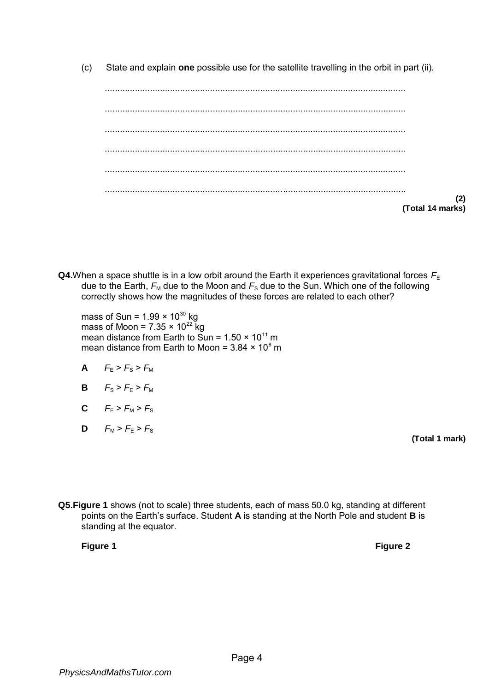(c) State and explain **one** possible use for the satellite travelling in the orbit in part (ii).

| (2)<br>(Total 14 marks) |
|-------------------------|

**Q4.**When a space shuttle is in a low orbit around the Earth it experiences gravitational forces  $F_{E}$ due to the Earth,  $F_M$  due to the Moon and  $F_S$  due to the Sun. Which one of the following correctly shows how the magnitudes of these forces are related to each other?

mass of Sun = 1.99  $\times$  10 $^{30}$  kg mass of Moon = 7.35  $\times$  10<sup>22</sup> kg mean distance from Earth to Sun = 1.50  $\times$  10<sup>11</sup> m mean distance from Earth to Moon = 3.84  $\times$  10 $^8$  m

- **A**  $F_{F} > F_{S} > F_{M}$
- **B**  $F_{S} > F_{E} > F_{M}$
- **C**  $F_{E} > F_{M} > F_{S}$
- **D**  $F_M > F_E > F_S$

**(Total 1 mark)** 

**Q5.Figure 1** shows (not to scale) three students, each of mass 50.0 kg, standing at different points on the Earth's surface. Student **A** is standing at the North Pole and student **B** is standing at the equator.

**Figure 1 Figure 2**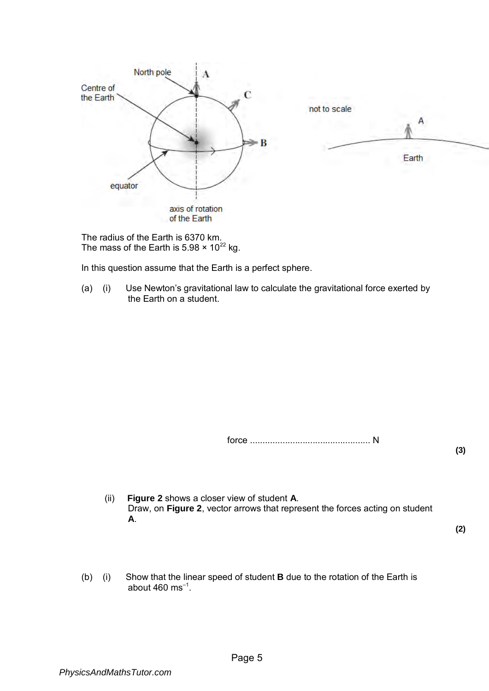

The radius of the Earth is 6370 km. The mass of the Earth is  $5.98 \times 10^{22}$  kg.

In this question assume that the Earth is a perfect sphere.

(a) (i) Use Newton's gravitational law to calculate the gravitational force exerted by the Earth on a student.

force ................................................ N

**(3)** 

(ii) **Figure 2** shows a closer view of student **A**. Draw, on **Figure 2**, vector arrows that represent the forces acting on student **A**.

**(2)** 

(b) (i) Show that the linear speed of student **B** due to the rotation of the Earth is about 460  $\text{ms}^{-1}$ .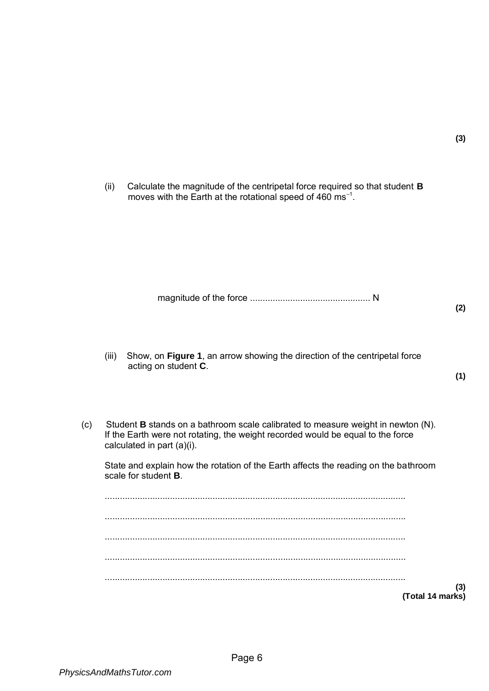- (ii) Calculate the magnitude of the centripetal force required so that student **B**
- moves with the Earth at the rotational speed of 460  $\text{ms}^{-1}$ .

magnitude of the force ................................................ N

**(2)** 

**(3)** 

- (iii) Show, on **Figure 1**, an arrow showing the direction of the centripetal force acting on student **C**.
- **(1)**
- (c) Student **B** stands on a bathroom scale calibrated to measure weight in newton (N). If the Earth were not rotating, the weight recorded would be equal to the force calculated in part (a)(i).

State and explain how the rotation of the Earth affects the reading on the bathroom scale for student **B**.

........................................................................................................................ ........................................................................................................................ ........................................................................................................................ ........................................................................................................................ ........................................................................................................................ **(3) (Total 14 marks)**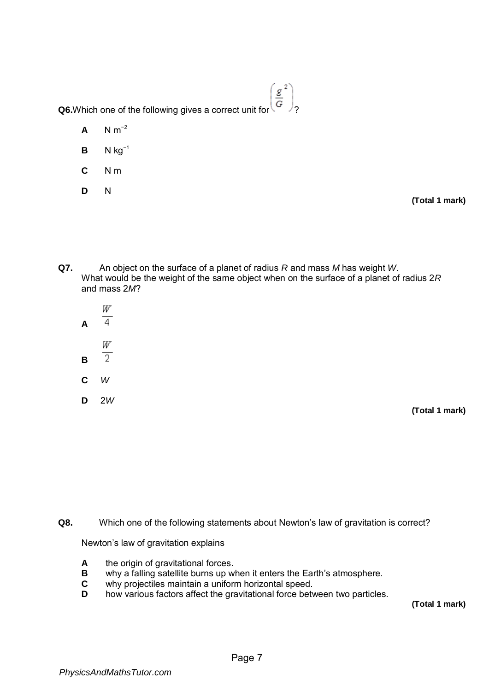**Q6.**Which one of the following gives a correct unit for  $\left(\frac{g}{G}^2\right)$ ,

- **A**  $N m^{-2}$
- **B**  $N kg^{-1}$
- **C** N m
- **D** N

**(Total 1 mark)** 

**Q7.** An object on the surface of a planet of radius *R* and mass *M* has weight *W*. What would be the weight of the same object when on the surface of a planet of radius 2*R* and mass 2*M*?

| A | W<br>4  |  |
|---|---------|--|
| В | W<br>2. |  |
| С | W       |  |
| D | 2W      |  |

**(Total 1 mark)** 

**Q8.** Which one of the following statements about Newton's law of gravitation is correct?

Newton's law of gravitation explains

- **A** the origin of gravitational forces.
- **B** why a falling satellite burns up when it enters the Earth's atmosphere.<br>**C** why projectiles maintain a uniform horizontal speed.
- why projectiles maintain a uniform horizontal speed.
- **D** how various factors affect the gravitational force between two particles.

**(Total 1 mark)**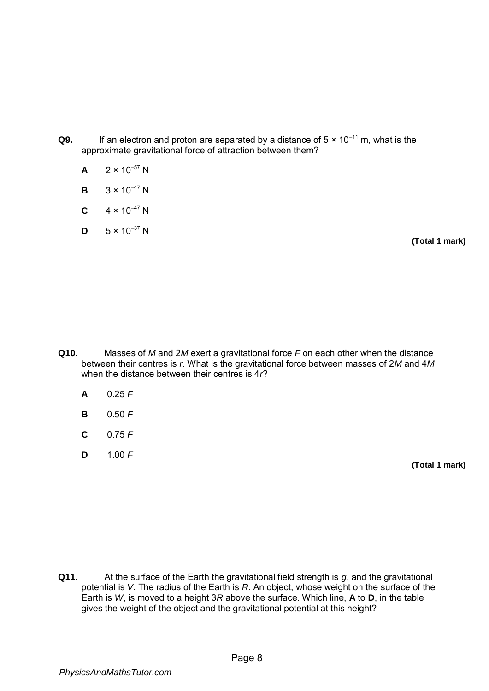**Q9.** If an electron and proton are separated by a distance of  $5 \times 10^{-11}$  m, what is the approximate gravitational force of attraction between them?

| $2 \times 10^{-57}$ N |
|-----------------------|
|                       |

- **B**  $3 \times 10^{-47}$  N
- **C**  $4 \times 10^{-47}$  N
- **D**  $5 \times 10^{-37}$  N

**(Total 1 mark)** 

- **Q10.** Masses of *M* and 2*M* exert a gravitational force *F* on each other when the distance between their centres is *r*. What is the gravitational force between masses of 2*M* and 4*M*  when the distance between their centres is 4*r*?
	- **A** 0.25 *F*
	- **B** 0.50 *F*
	- **C** 0.75 *F*
	- **D** 1.00 *F*

**(Total 1 mark)** 

**Q11.** At the surface of the Earth the gravitational field strength is *g*, and the gravitational potential is *V*. The radius of the Earth is *R*. An object, whose weight on the surface of the Earth is *W*, is moved to a height 3*R* above the surface. Which line, **A** to **D**, in the table gives the weight of the object and the gravitational potential at this height?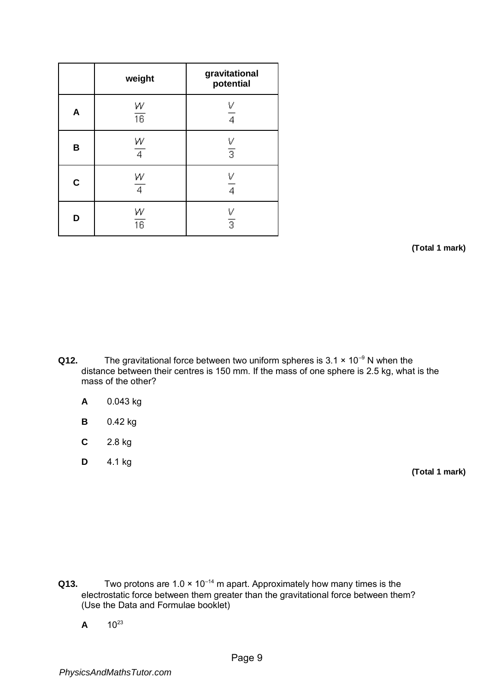|             | weight               | gravitational<br>potential |
|-------------|----------------------|----------------------------|
| A           | $\frac{W}{16}$       | V<br>4                     |
| B           | W<br>4               | $\frac{V}{3}$              |
| $\mathbf C$ | W<br>4               | 4                          |
| D           | W<br>$\overline{16}$ | $\frac{V}{3}$              |

**(Total 1 mark)** 

- **Q12.** The gravitational force between two uniform spheres is 3.1 × 10<sup>-9</sup> N when the distance between their centres is 150 mm. If the mass of one sphere is 2.5 kg, what is the mass of the other?
	- **A** 0.043 kg
	- **B** 0.42 kg
	- **C** 2.8 kg
	- **D** 4.1 kg

**(Total 1 mark)** 

- **Q13.** Two protons are  $1.0 \times 10^{-14}$  m apart. Approximately how many times is the electrostatic force between them greater than the gravitational force between them? (Use the Data and Formulae booklet)
	- $A = 10^{23}$